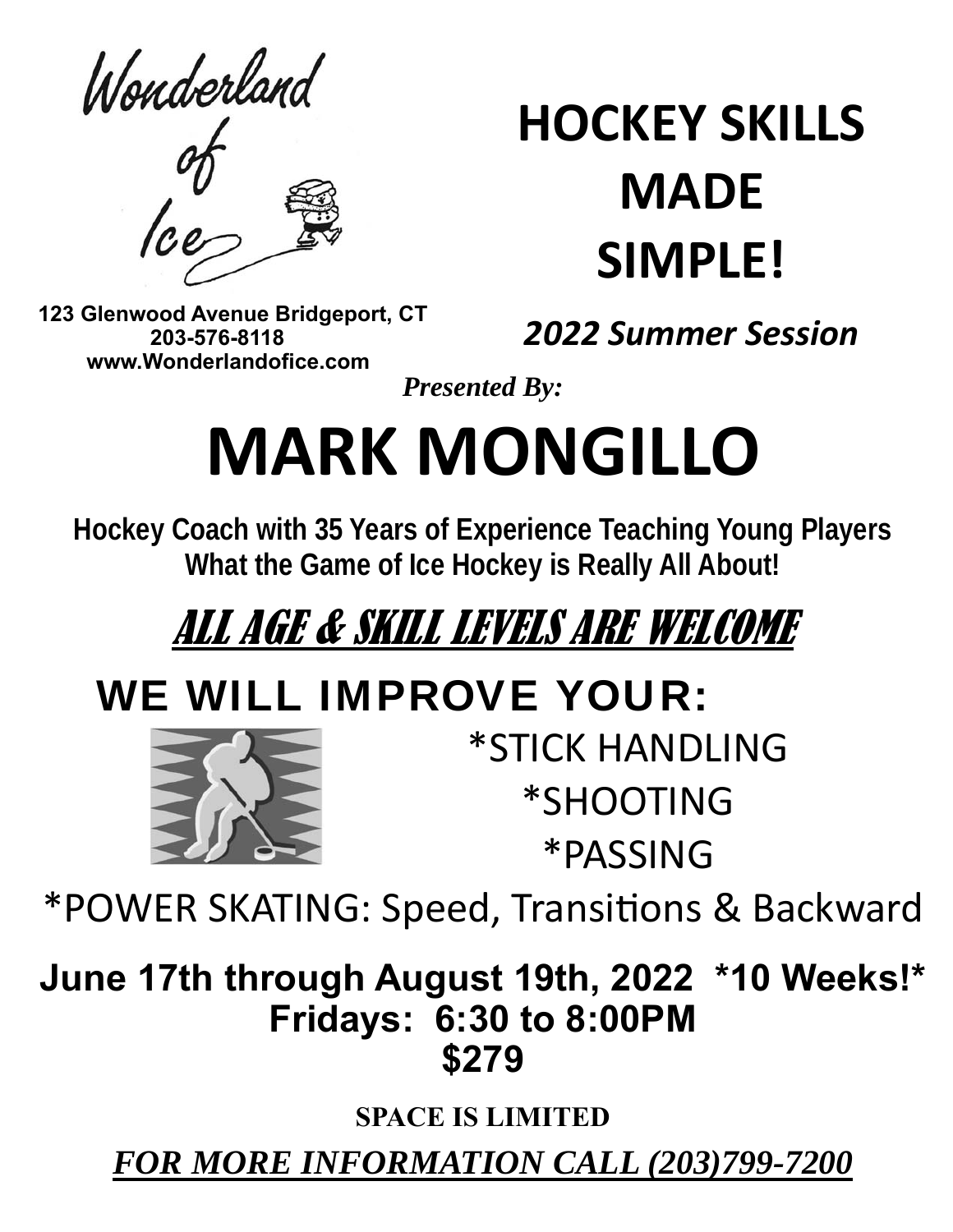Wonderland

# **HOCKEY SKILLS MADE SIMPLE!**

 **123 Glenwood Avenue Bridgeport, CT 203-576-8118 www.Wonderlandofice.com**

*2022 Summer Session* 

*Presented By:* 

# **MARK MONGILLO**

**Hockey Coach with 35 Years of Experience Teaching Young Players What the Game of Ice Hockey is Really All About!** 

## ALL AGE & SKILL LEVELS ARE WELCOME

### WE WILL IMPROVE YOUR:



\*STICK HANDLING \*SHOOTING \*PASSING

\*POWER SKATING: Speed, TransiƟons & Backward

**June 17th through August 19th, 2022 \*10 Weeks!\* Fridays: 6:30 to 8:00PM \$279** 

**SPACE IS LIMITED** 

*FOR MORE INFORMATION CALL (203)799-7200*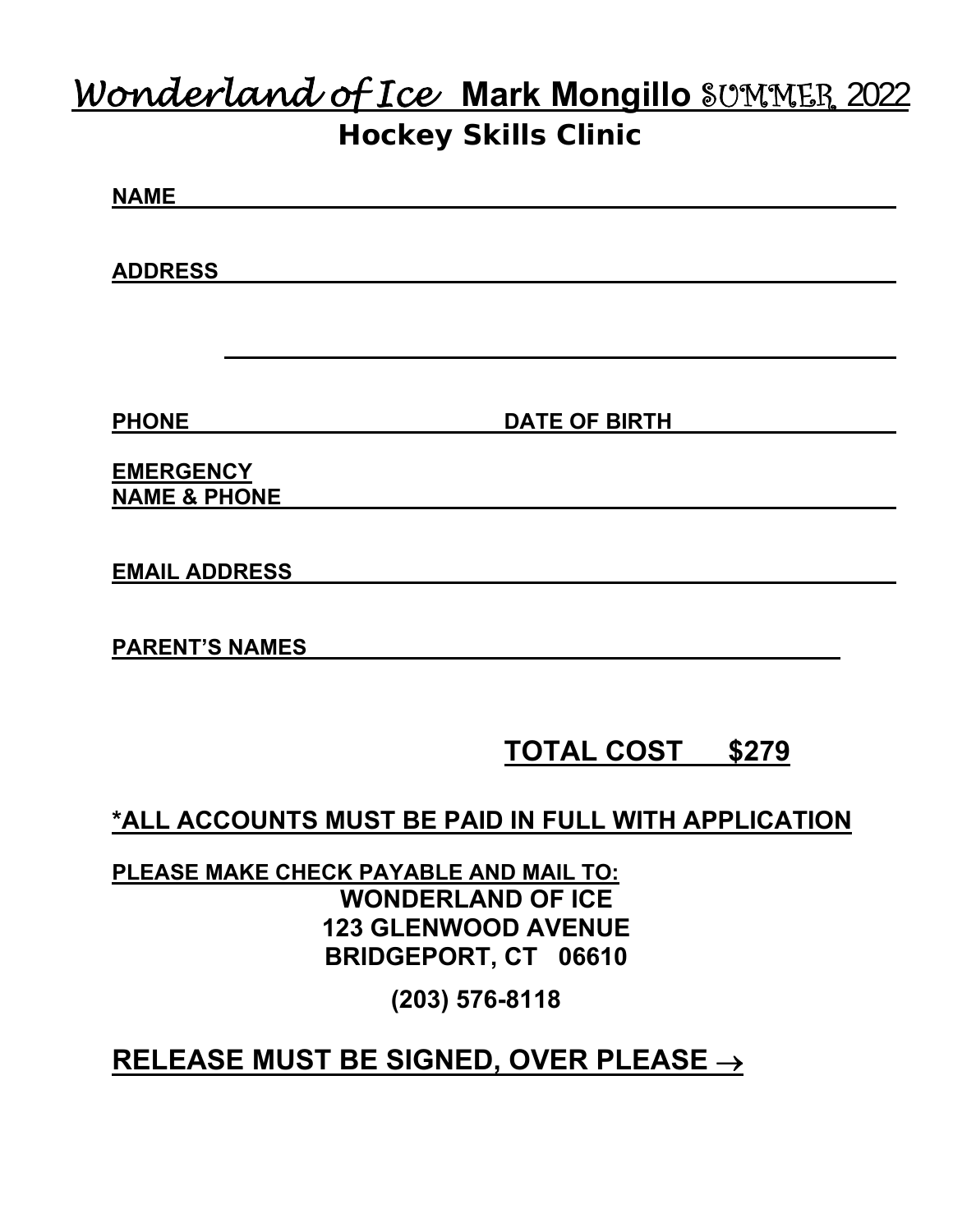### *Wonderland of Ice* **Mark Mongillo** SUMMER 2022 **Hockey Skills Clinic**

| <b>NAME</b>    |  |  |  |
|----------------|--|--|--|
|                |  |  |  |
|                |  |  |  |
| <b>ADDRESS</b> |  |  |  |
|                |  |  |  |
|                |  |  |  |

**PHONE** DATE OF BIRTH

**EMERGENCY NAME & PHONE** 

**EMAIL ADDRESS** 

**PARENT'S NAMES** 

### **TOTAL COST \$279**

**\*ALL ACCOUNTS MUST BE PAID IN FULL WITH APPLICATION** 

**PLEASE MAKE CHECK PAYABLE AND MAIL TO: WONDERLAND OF ICE 123 GLENWOOD AVENUE BRIDGEPORT, CT 06610** 

**(203) 576-8118** 

#### **RELEASE MUST BE SIGNED, OVER PLEASE**